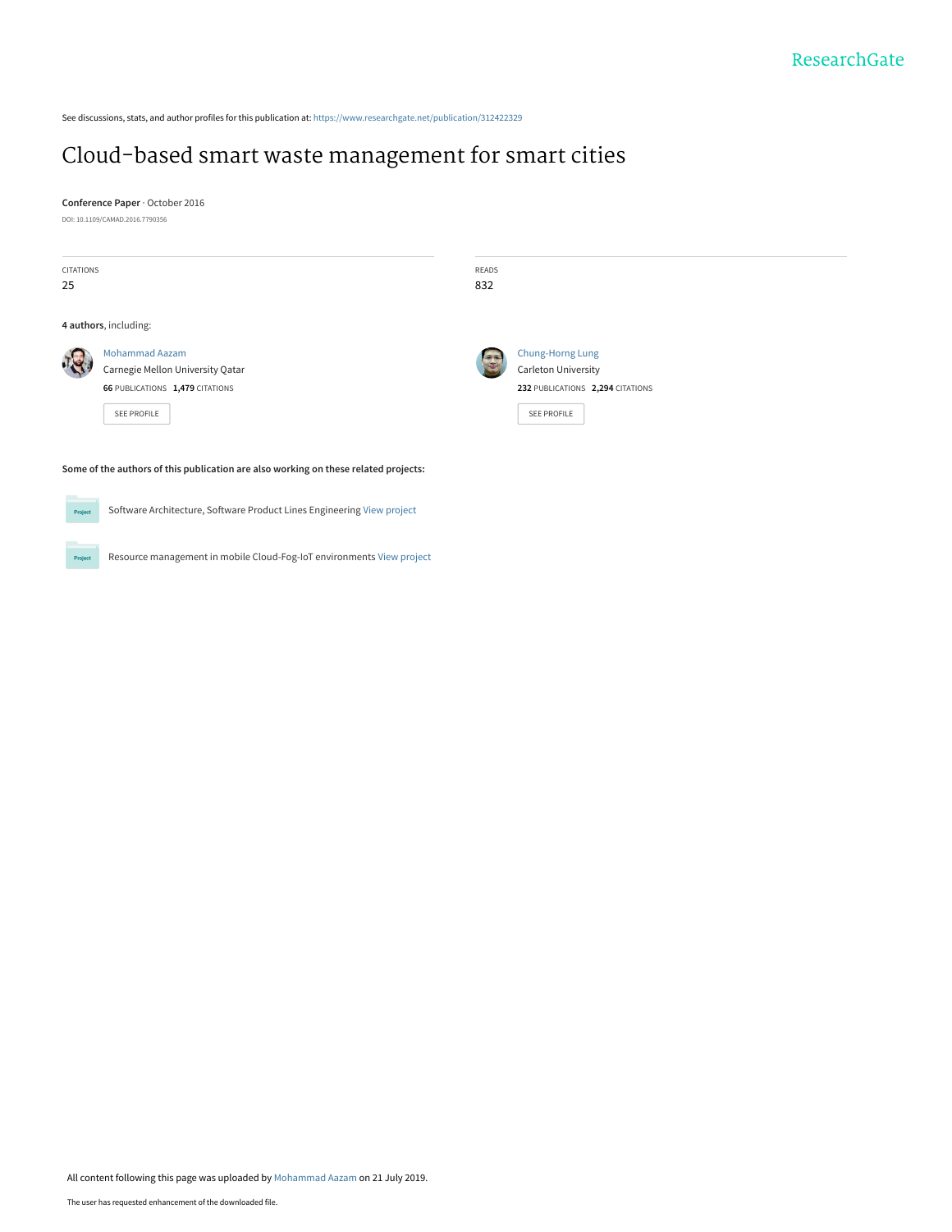See discussions, stats, and author profiles for this publication at: [https://www.researchgate.net/publication/312422329](https://www.researchgate.net/publication/312422329_Cloud-based_smart_waste_management_for_smart_cities?enrichId=rgreq-3ac44d589b5be3e28b600c915e92c691-XXX&enrichSource=Y292ZXJQYWdlOzMxMjQyMjMyOTtBUzo3ODMwNzk0NTUwOTI3MzZAMTU2MzcxMjA5OTE3OA%3D%3D&el=1_x_2&_esc=publicationCoverPdf)

# [Cloud-based smart waste management for smart cities](https://www.researchgate.net/publication/312422329_Cloud-based_smart_waste_management_for_smart_cities?enrichId=rgreq-3ac44d589b5be3e28b600c915e92c691-XXX&enrichSource=Y292ZXJQYWdlOzMxMjQyMjMyOTtBUzo3ODMwNzk0NTUwOTI3MzZAMTU2MzcxMjA5OTE3OA%3D%3D&el=1_x_3&_esc=publicationCoverPdf)

**Conference Paper** · October 2016

DOI: 10.1109/CAMAD.2016.7790356

| CITATIONS<br>25                                                                     |                                                                                                             | <b>READS</b><br>832 |                                                                                                   |
|-------------------------------------------------------------------------------------|-------------------------------------------------------------------------------------------------------------|---------------------|---------------------------------------------------------------------------------------------------|
| 4 authors, including:                                                               |                                                                                                             |                     |                                                                                                   |
|                                                                                     | <b>Mohammad Aazam</b><br>Carnegie Mellon University Qatar<br>66 PUBLICATIONS 1,479 CITATIONS<br>SEE PROFILE | $\frac{1}{2}$       | Chung-Horng Lung<br>Carleton University<br>232 PUBLICATIONS 2,294 CITATIONS<br><b>SEE PROFILE</b> |
| Some of the authors of this publication are also working on these related projects: |                                                                                                             |                     |                                                                                                   |

**Project** 

Project

Software Architecture, Software Product Lines Engineering [View project](https://www.researchgate.net/project/Software-Architecture-Software-Product-Lines-Engineering?enrichId=rgreq-3ac44d589b5be3e28b600c915e92c691-XXX&enrichSource=Y292ZXJQYWdlOzMxMjQyMjMyOTtBUzo3ODMwNzk0NTUwOTI3MzZAMTU2MzcxMjA5OTE3OA%3D%3D&el=1_x_9&_esc=publicationCoverPdf)

Resource management in mobile Cloud-Fog-IoT environments [View project](https://www.researchgate.net/project/Resource-management-in-mobile-Cloud-Fog-IoT-environments?enrichId=rgreq-3ac44d589b5be3e28b600c915e92c691-XXX&enrichSource=Y292ZXJQYWdlOzMxMjQyMjMyOTtBUzo3ODMwNzk0NTUwOTI3MzZAMTU2MzcxMjA5OTE3OA%3D%3D&el=1_x_9&_esc=publicationCoverPdf)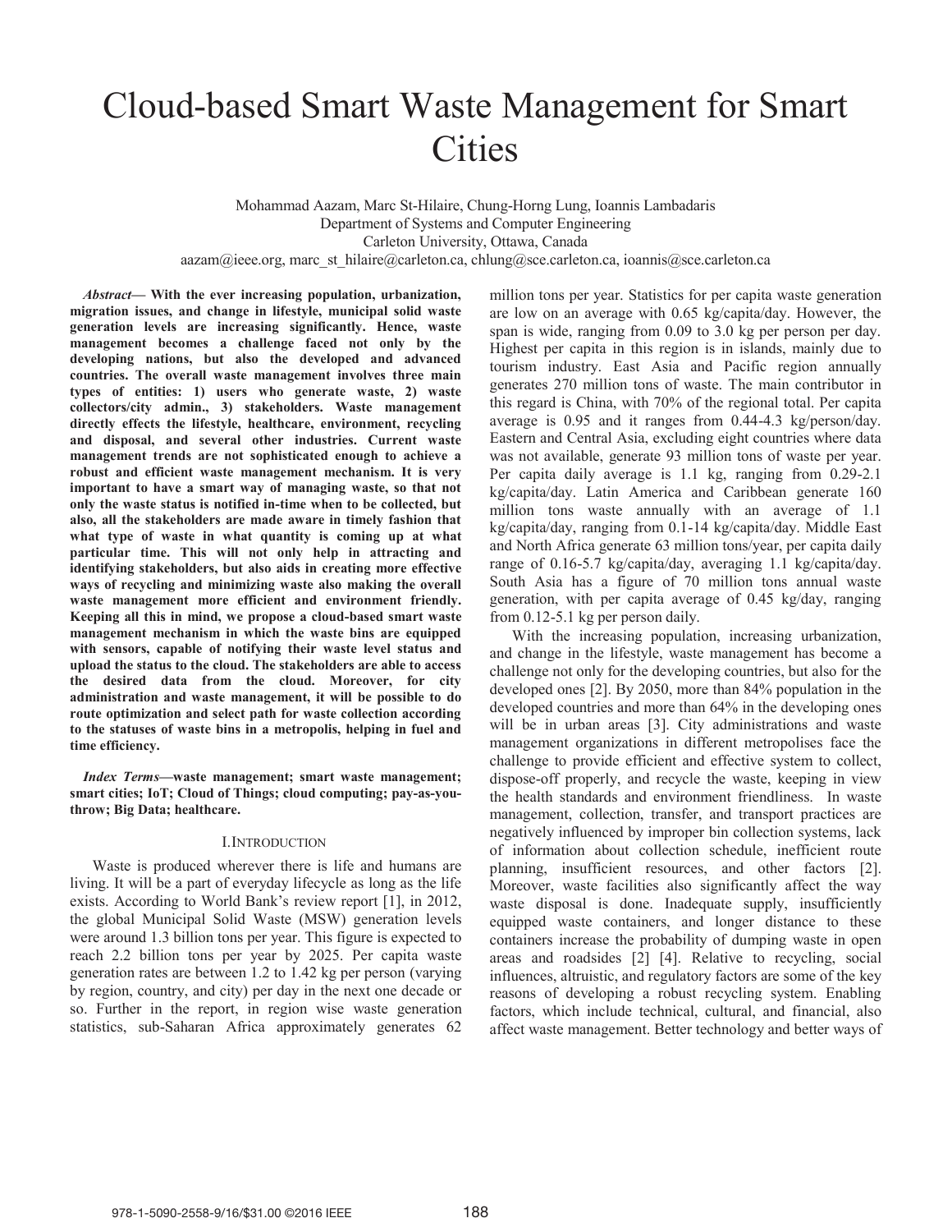# Cloud-based Smart Waste Management for Smart **Cities**

Mohammad Aazam, Marc St-Hilaire, Chung-Horng Lung, Ioannis Lambadaris Department of Systems and Computer Engineering Carleton University, Ottawa, Canada

aazam@ieee.org, marc\_st\_hilaire@carleton.ca, chlung@sce.carleton.ca, ioannis@sce.carleton.ca

*Abstract***— With the ever increasing population, urbanization, migration issues, and change in lifestyle, municipal solid waste generation levels are increasing significantly. Hence, waste management becomes a challenge faced not only by the developing nations, but also the developed and advanced countries. The overall waste management involves three main types of entities: 1) users who generate waste, 2) waste collectors/city admin., 3) stakeholders. Waste management directly effects the lifestyle, healthcare, environment, recycling and disposal, and several other industries. Current waste management trends are not sophisticated enough to achieve a robust and efficient waste management mechanism. It is very important to have a smart way of managing waste, so that not only the waste status is notified in-time when to be collected, but also, all the stakeholders are made aware in timely fashion that what type of waste in what quantity is coming up at what particular time. This will not only help in attracting and identifying stakeholders, but also aids in creating more effective ways of recycling and minimizing waste also making the overall waste management more efficient and environment friendly. Keeping all this in mind, we propose a cloud-based smart waste management mechanism in which the waste bins are equipped with sensors, capable of notifying their waste level status and upload the status to the cloud. The stakeholders are able to access the desired data from the cloud. Moreover, for city administration and waste management, it will be possible to do route optimization and select path for waste collection according to the statuses of waste bins in a metropolis, helping in fuel and time efficiency.** 

*Index Terms***—waste management; smart waste management; smart cities; IoT; Cloud of Things; cloud computing; pay-as-youthrow; Big Data; healthcare.** 

#### I.INTRODUCTION

Waste is produced wherever there is life and humans are living. It will be a part of everyday lifecycle as long as the life exists. According to World Bank's review report [1], in 2012, the global Municipal Solid Waste (MSW) generation levels were around 1.3 billion tons per year. This figure is expected to reach 2.2 billion tons per year by 2025. Per capita waste generation rates are between 1.2 to 1.42 kg per person (varying by region, country, and city) per day in the next one decade or so. Further in the report, in region wise waste generation statistics, sub-Saharan Africa approximately generates 62 million tons per year. Statistics for per capita waste generation are low on an average with 0.65 kg/capita/day. However, the span is wide, ranging from 0.09 to 3.0 kg per person per day. Highest per capita in this region is in islands, mainly due to tourism industry. East Asia and Pacific region annually generates 270 million tons of waste. The main contributor in this regard is China, with 70% of the regional total. Per capita average is 0.95 and it ranges from 0.44-4.3 kg/person/day. Eastern and Central Asia, excluding eight countries where data was not available, generate 93 million tons of waste per year. Per capita daily average is 1.1 kg, ranging from 0.29-2.1 kg/capita/day. Latin America and Caribbean generate 160 million tons waste annually with an average of 1.1 kg/capita/day, ranging from 0.1-14 kg/capita/day. Middle East and North Africa generate 63 million tons/year, per capita daily range of 0.16-5.7 kg/capita/day, averaging 1.1 kg/capita/day. South Asia has a figure of 70 million tons annual waste generation, with per capita average of 0.45 kg/day, ranging from 0.12-5.1 kg per person daily.

With the increasing population, increasing urbanization, and change in the lifestyle, waste management has become a challenge not only for the developing countries, but also for the developed ones [2]. By 2050, more than 84% population in the developed countries and more than 64% in the developing ones will be in urban areas [3]. City administrations and waste management organizations in different metropolises face the challenge to provide efficient and effective system to collect, dispose-off properly, and recycle the waste, keeping in view the health standards and environment friendliness. In waste management, collection, transfer, and transport practices are negatively influenced by improper bin collection systems, lack of information about collection schedule, inefficient route planning, insufficient resources, and other factors [2]. Moreover, waste facilities also significantly affect the way waste disposal is done. Inadequate supply, insufficiently equipped waste containers, and longer distance to these containers increase the probability of dumping waste in open areas and roadsides [2] [4]. Relative to recycling, social influences, altruistic, and regulatory factors are some of the key reasons of developing a robust recycling system. Enabling factors, which include technical, cultural, and financial, also affect waste management. Better technology and better ways of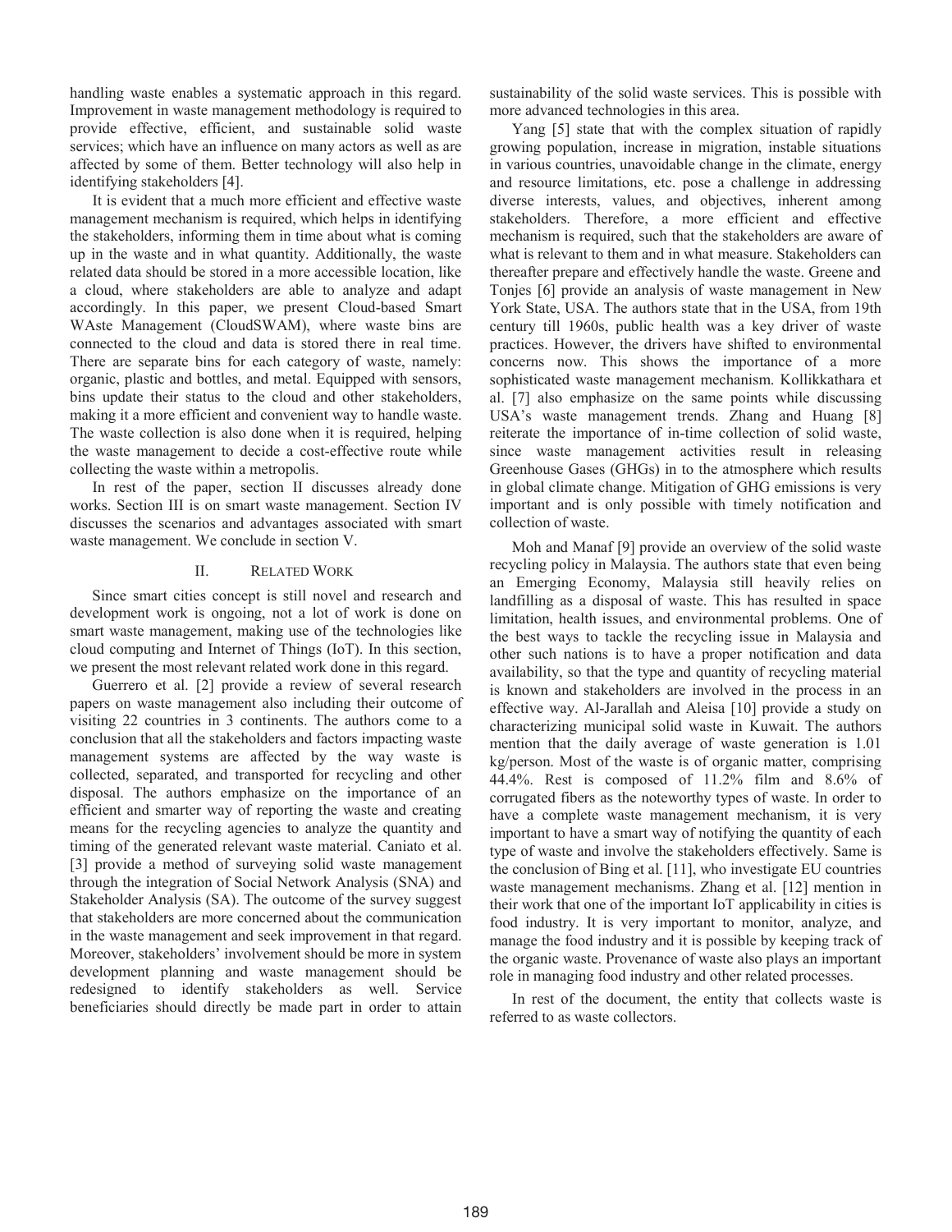handling waste enables a systematic approach in this regard. Improvement in waste management methodology is required to provide effective, efficient, and sustainable solid waste services; which have an influence on many actors as well as are affected by some of them. Better technology will also help in identifying stakeholders [4].

It is evident that a much more efficient and effective waste management mechanism is required, which helps in identifying the stakeholders, informing them in time about what is coming up in the waste and in what quantity. Additionally, the waste related data should be stored in a more accessible location, like a cloud, where stakeholders are able to analyze and adapt accordingly. In this paper, we present Cloud-based Smart WAste Management (CloudSWAM), where waste bins are connected to the cloud and data is stored there in real time. There are separate bins for each category of waste, namely: organic, plastic and bottles, and metal. Equipped with sensors, bins update their status to the cloud and other stakeholders, making it a more efficient and convenient way to handle waste. The waste collection is also done when it is required, helping the waste management to decide a cost-effective route while collecting the waste within a metropolis.

In rest of the paper, section II discusses already done works. Section III is on smart waste management. Section IV discusses the scenarios and advantages associated with smart waste management. We conclude in section V.

# II. RELATED WORK

Since smart cities concept is still novel and research and development work is ongoing, not a lot of work is done on smart waste management, making use of the technologies like cloud computing and Internet of Things (IoT). In this section, we present the most relevant related work done in this regard.

Guerrero et al. [2] provide a review of several research papers on waste management also including their outcome of visiting 22 countries in 3 continents. The authors come to a conclusion that all the stakeholders and factors impacting waste management systems are affected by the way waste is collected, separated, and transported for recycling and other disposal. The authors emphasize on the importance of an efficient and smarter way of reporting the waste and creating means for the recycling agencies to analyze the quantity and timing of the generated relevant waste material. Caniato et al. [3] provide a method of surveying solid waste management through the integration of Social Network Analysis (SNA) and Stakeholder Analysis (SA). The outcome of the survey suggest that stakeholders are more concerned about the communication in the waste management and seek improvement in that regard. Moreover, stakeholders' involvement should be more in system development planning and waste management should be redesigned to identify stakeholders as well. Service beneficiaries should directly be made part in order to attain

sustainability of the solid waste services. This is possible with more advanced technologies in this area.

Yang [5] state that with the complex situation of rapidly growing population, increase in migration, instable situations in various countries, unavoidable change in the climate, energy and resource limitations, etc. pose a challenge in addressing diverse interests, values, and objectives, inherent among stakeholders. Therefore, a more efficient and effective mechanism is required, such that the stakeholders are aware of what is relevant to them and in what measure. Stakeholders can thereafter prepare and effectively handle the waste. Greene Tonjes [6] provide an analysis of waste management in New York State, USA. The authors state that in the USA, from 19th century till 1960s, public health was a key driver of waste practices. However, the drivers have shifted to environmental concerns now. This shows the importance of a more sophisticated waste management mechanism. Kollikkathara et al. [7] also emphasize on the same points while discussing USA's waste management trends. Zhang and Huang [8] reiterate the importance of in-time collection of solid waste, since waste management activities result in releasing Greenhouse Gases (GHGs) in to the atmosphere which results in global climate change. Mitigation of GHG emissions is very important and is only possible with timely notification and collection of waste.

Moh and Manaf [9] provide an overview of the solid waste recycling policy in Malaysia. The authors state that even being an Emerging Economy, Malaysia still heavily relies on landfilling as a disposal of waste. This has resulted in space limitation, health issues, and environmental problems. One of the best ways to tackle the recycling issue in Malaysia and other such nations is to have a proper notification and data availability, so that the type and quantity of recycling material is known and stakeholders are involved in the process in an effective way. Al-Jarallah and Aleisa [10] provide a study on characterizing municipal solid waste in Kuwait. The authors mention that the daily average of waste generation is 1.01 kg/person. Most of the waste is of organic matter, comprising 44.4%. Rest is composed of 11.2% film and 8.6% of corrugated fibers as the noteworthy types of waste. In order to have a complete waste management mechanism, it is very important to have a smart way of notifying the quantity of each type of waste and involve the stakeholders effectively. Same is the conclusion of Bing et al. [11], who investigate EU countries waste management mechanisms. Zhang et al. [12] mention in their work that one of the important IoT applicability in cities is food industry. It is very important to monitor, analyze, and manage the food industry and it is possible by keeping track of the organic waste. Provenance of waste also plays an important role in managing food industry and other related processes.

In rest of the document, the entity that collects waste is referred to as waste collectors.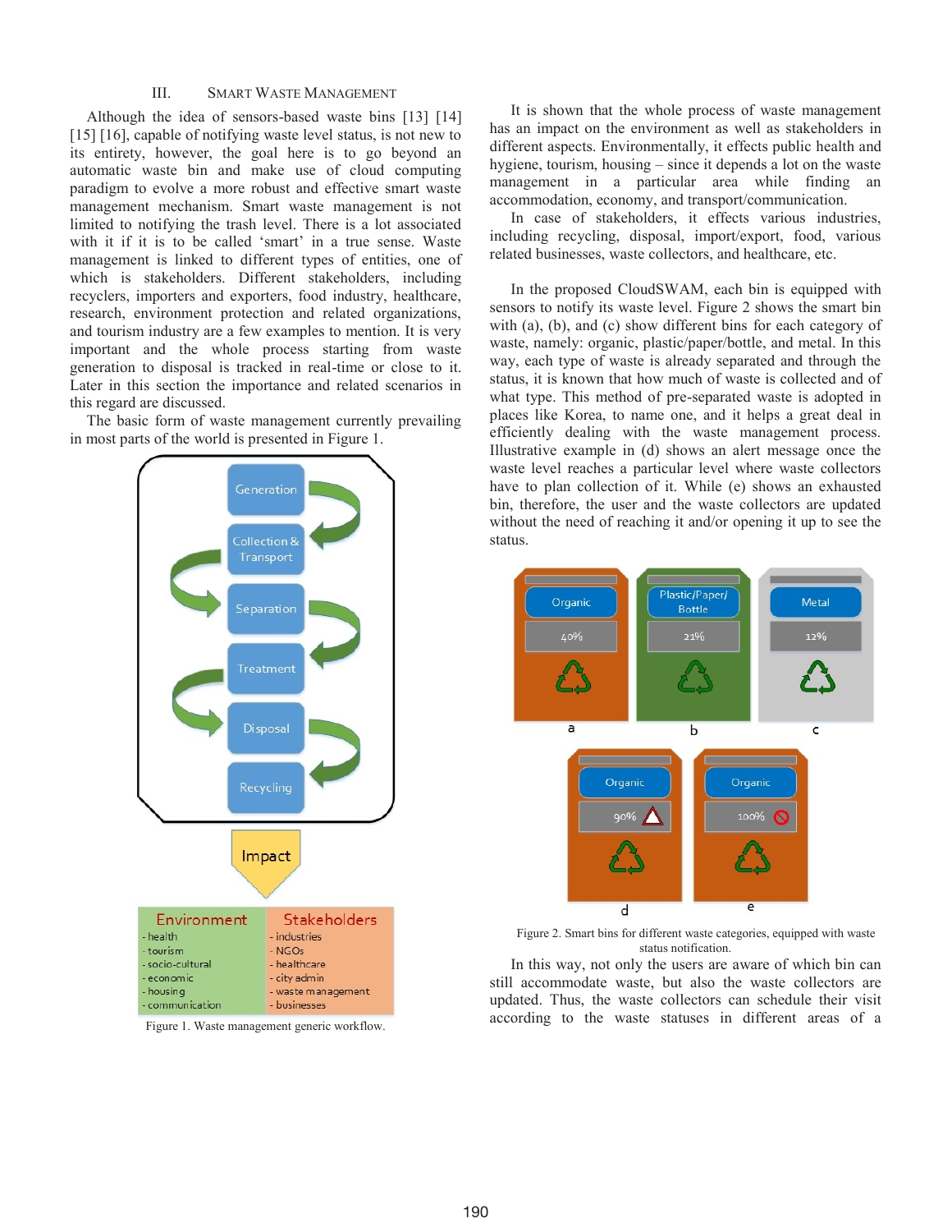# III. SMART WASTE MANAGEMENT

Although the idea of sensors-based waste bins [13] [14] [15] [16], capable of notifying waste level status, is not new to its entirety, however, the goal here is to go beyond an automatic waste bin and make use of cloud computing paradigm to evolve a more robust and effective smart waste management mechanism. Smart waste management is not limited to notifying the trash level. There is a lot associated with it if it is to be called 'smart' in a true sense. Waste management is linked to different types of entities, one of which is stakeholders. Different stakeholders, including recyclers, importers and exporters, food industry, healthcare, research, environment protection and related organizations, and tourism industry are a few examples to mention. It is very important and the whole process starting from waste generation to disposal is tracked in real-time or close to it. Later in this section the importance and related scenarios in this regard are discussed.

The basic form of waste management currently prevailing in most parts of the world is presented in Figure 1.



Figure 1. Waste management generic workflow.

It is shown that the whole process of waste management has an impact on the environment as well as stakeholders in different aspects. Environmentally, it effects public health and hygiene, tourism, housing – since it depends a lot on the waste management in a particular area while finding an accommodation, economy, and transport/communication.

In case of stakeholders, it effects various industries, including recycling, disposal, import/export, food, various related businesses, waste collectors, and healthcare, etc.

In the proposed CloudSWAM, each bin is equipped with sensors to notify its waste level. Figure 2 shows the smart bin with (a), (b), and (c) show different bins for each category of waste, namely: organic, plastic/paper/bottle, and metal. In this way, each type of waste is already separated and through the status, it is known that how much of waste is collected and of what type. This method of pre-separated waste is adopted in places like Korea, to name one, and it helps a great deal in efficiently dealing with the waste management process. Illustrative example in (d) shows an alert message once the waste level reaches a particular level where waste collectors have to plan collection of it. While (e) shows an exhausted bin, therefore, the user and the waste collectors are updated without the need of reaching it and/or opening it up to see the status.



Figure 2. Smart bins for different waste categories, equipped with waste status notification.

In this way, not only the users are aware of which bin can still accommodate waste, but also the waste collectors are updated. Thus, the waste collectors can schedule their visit according to the waste statuses in different areas of a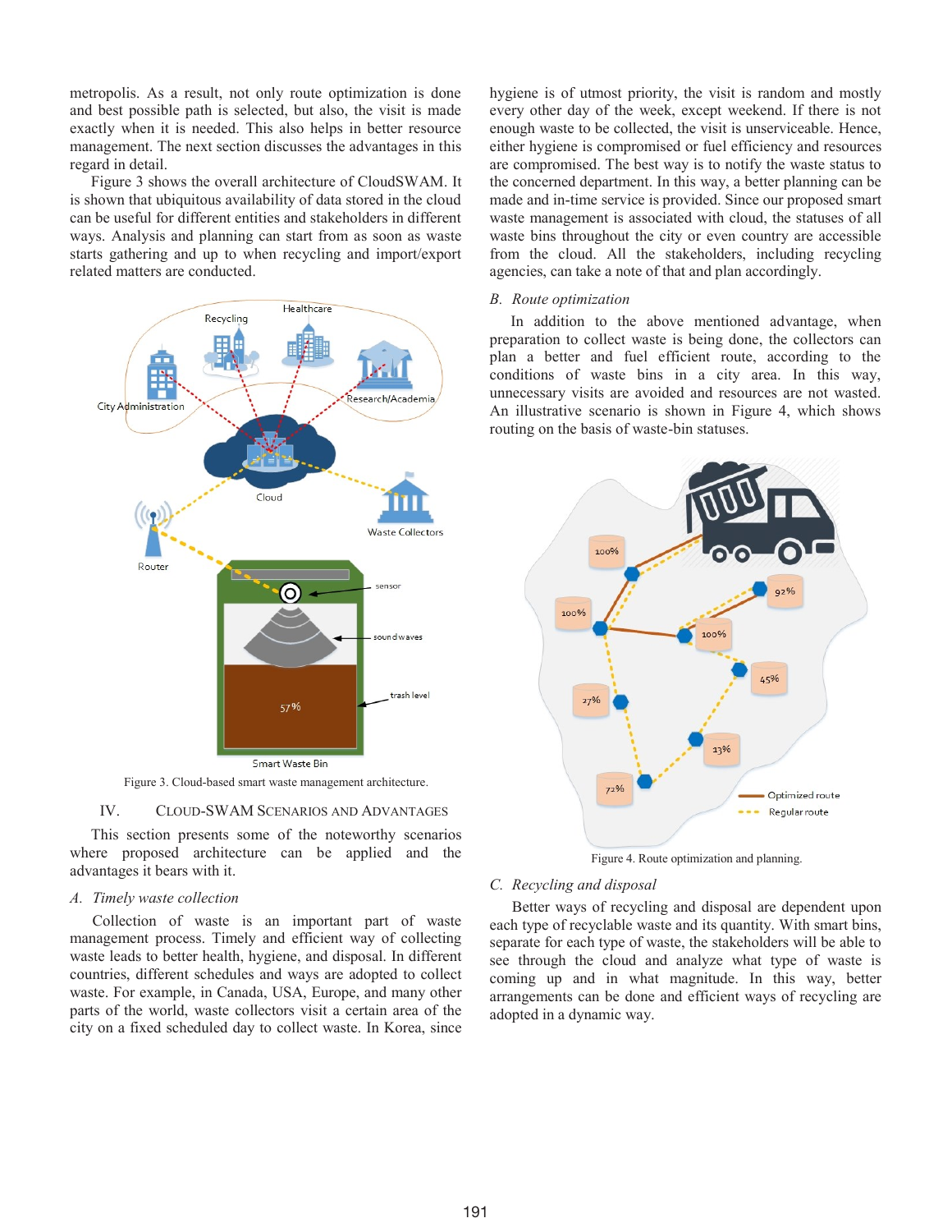metropolis. As a result, not only route optimization is done and best possible path is selected, but also, the visit is made exactly when it is needed. This also helps in better resource management. The next section discusses the advantages in this regard in detail.

Figure 3 shows the overall architecture of CloudSWAM. It is shown that ubiquitous availability of data stored in the cloud can be useful for different entities and stakeholders in different ways. Analysis and planning can start from as soon as waste starts gathering and up to when recycling and import/export related matters are conducted.



Figure 3. Cloud-based smart waste management architecture.

## IV. CLOUD-SWAM SCENARIOS AND ADVANTAGES

This section presents some of the noteworthy scenarios where proposed architecture can be applied and the advantages it bears with it.

#### *A. Timely waste collection*

Collection of waste is an important part of waste management process. Timely and efficient way of collecting waste leads to better health, hygiene, and disposal. In different countries, different schedules and ways are adopted to collect waste. For example, in Canada, USA, Europe, and many other parts of the world, waste collectors visit a certain area of the city on a fixed scheduled day to collect waste. In Korea, since hygiene is of utmost priority, the visit is random and mostly every other day of the week, except weekend. If there is not enough waste to be collected, the visit is unserviceable. Hence, either hygiene is compromised or fuel efficiency and resources are compromised. The best way is to notify the waste status to the concerned department. In this way, a better planning can be made and in-time service is provided. Since our proposed smart waste management is associated with cloud, the statuses of all waste bins throughout the city or even country are accessible from the cloud. All the stakeholders, including recycling agencies, can take a note of that and plan accordingly.

#### *B. Route optimization*

In addition to the above mentioned advantage, when preparation to collect waste is being done, the collectors can plan a better and fuel efficient route, according to the conditions of waste bins in a city area. In this way, unnecessary visits are avoided and resources are not wasted. An illustrative scenario is shown in Figure 4, which shows routing on the basis of waste-bin statuses.



Figure 4. Route optimization and planning.

#### *C. Recycling and disposal*

Better ways of recycling and disposal are dependent upon each type of recyclable waste and its quantity. With smart bins, separate for each type of waste, the stakeholders will be able to see through the cloud and analyze what type of waste is coming up and in what magnitude. In this way, better arrangements can be done and efficient ways of recycling are adopted in a dynamic way.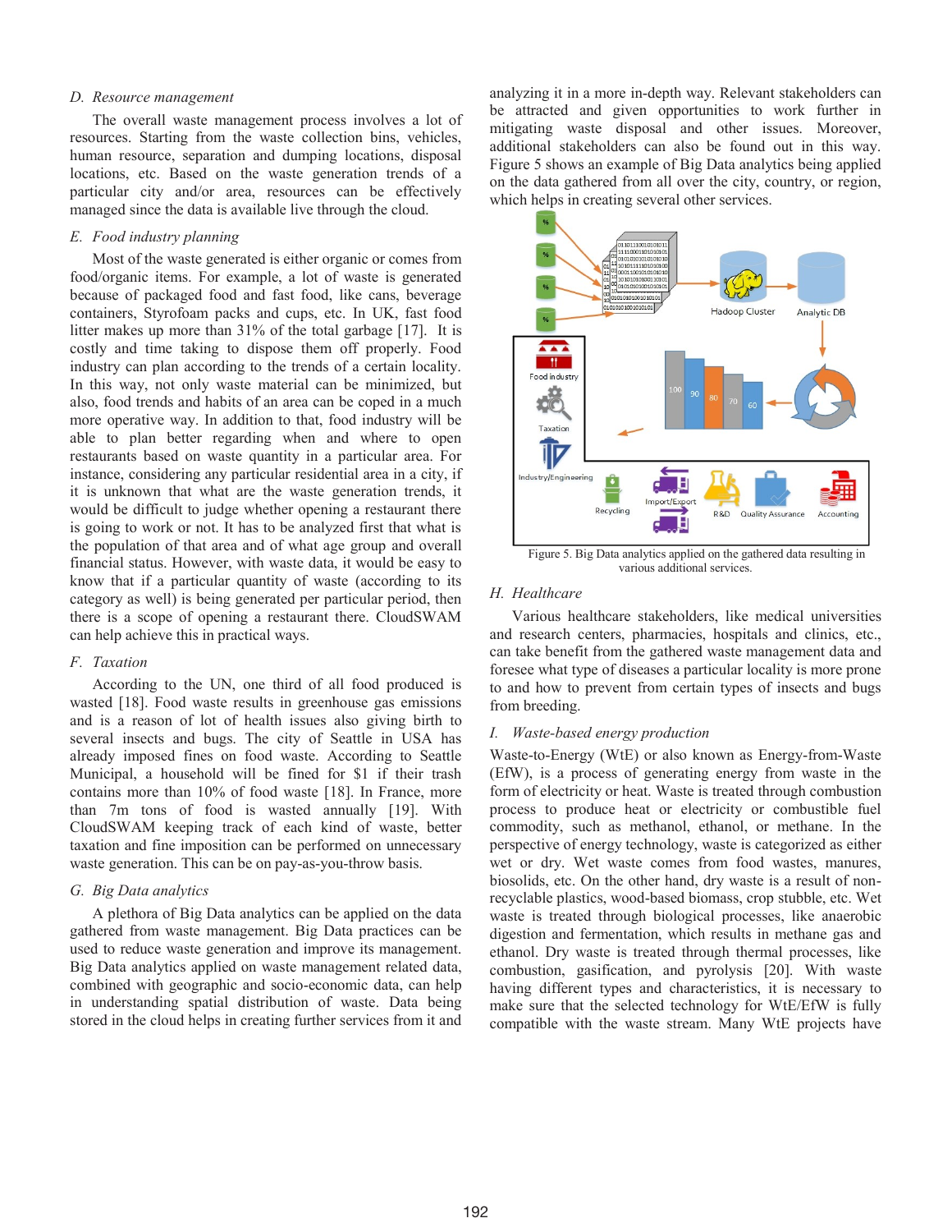#### *D. Resource management*

The overall waste management process involves a lot of resources. Starting from the waste collection bins, vehicles, human resource, separation and dumping locations, disposal locations, etc. Based on the waste generation trends of a particular city and/or area, resources can be effectively managed since the data is available live through the cloud.

### *E. Food industry planning*

Most of the waste generated is either organic or comes from food/organic items. For example, a lot of waste is generated because of packaged food and fast food, like cans, beverage containers, Styrofoam packs and cups, etc. In UK, fast food litter makes up more than 31% of the total garbage [17]. It is costly and time taking to dispose them off properly. Food industry can plan according to the trends of a certain locality. In this way, not only waste material can be minimized, but also, food trends and habits of an area can be coped in a much more operative way. In addition to that, food industry will be able to plan better regarding when and where to open restaurants based on waste quantity in a particular area. For instance, considering any particular residential area in a city, if it is unknown that what are the waste generation trends, it would be difficult to judge whether opening a restaurant there is going to work or not. It has to be analyzed first that what is the population of that area and of what age group and overall financial status. However, with waste data, it would be easy to know that if a particular quantity of waste (according to its category as well) is being generated per particular period, then there is a scope of opening a restaurant there. CloudSWAM can help achieve this in practical ways.

# *F. Taxation*

According to the UN, one third of all food produced is wasted [18]. Food waste results in greenhouse gas emissions and is a reason of lot of health issues also giving birth to several insects and bugs. The city of Seattle in USA has already imposed fines on food waste. According to Seattle Municipal, a household will be fined for \$1 if their trash contains more than 10% of food waste [18]. In France, more than 7m tons of food is wasted annually [19]. With CloudSWAM keeping track of each kind of waste, better taxation and fine imposition can be performed on unnecessary waste generation. This can be on pay-as-you-throw basis.

# *G. Big Data analytics*

A plethora of Big Data analytics can be applied on the data gathered from waste management. Big Data practices can be used to reduce waste generation and improve its management. Big Data analytics applied on waste management related data, combined with geographic and socio-economic data, can help in understanding spatial distribution of waste. Data being stored in the cloud helps in creating further services from it and

analyzing it in a more in-depth way. Relevant stakeholders can be attracted and given opportunities to work further in mitigating waste disposal and other issues. Moreover, additional stakeholders can also be found out in this way. Figure 5 shows an example of Big Data analytics being applied on the data gathered from all over the city, country, or region, which helps in creating several other services.



Figure 5. Big Data analytics applied on the gathered data resulting in various additional services.

# *H. Healthcare*

Various healthcare stakeholders, like medical universities and research centers, pharmacies, hospitals and clinics, etc., can take benefit from the gathered waste management data and foresee what type of diseases a particular locality is more prone to and how to prevent from certain types of insects and bugs from breeding.

# *I. Waste-based energy production*

Waste-to-Energy (WtE) or also known as Energy-from-Waste (EfW), is a process of generating energy from waste in the form of electricity or heat. Waste is treated through combustion process to produce heat or electricity or combustible fuel commodity, such as methanol, ethanol, or methane. In the perspective of energy technology, waste is categorized as either wet or dry. Wet waste comes from food wastes, manures, biosolids, etc. On the other hand, dry waste is a result of nonrecyclable plastics, wood-based biomass, crop stubble, etc. Wet waste is treated through biological processes, like anaerobic digestion and fermentation, which results in methane gas and ethanol. Dry waste is treated through thermal processes, like combustion, gasification, and pyrolysis [20]. With waste having different types and characteristics, it is necessary to make sure that the selected technology for WtE/EfW is fully compatible with the waste stream. Many WtE projects have